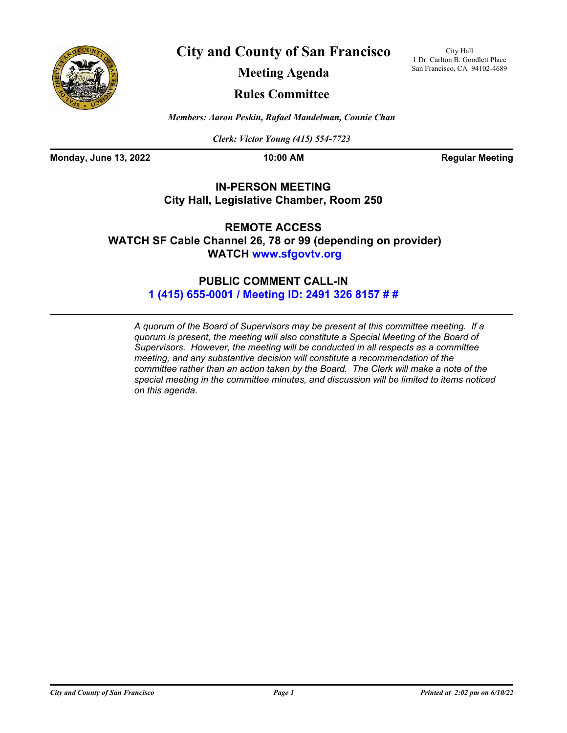

**City and County of San Francisco**

City Hall 1 Dr. Carlton B. Goodlett Place San Francisco, CA 94102-4689

**Meeting Agenda**

## **Rules Committee**

*Members: Aaron Peskin, Rafael Mandelman, Connie Chan*

*Clerk: Victor Young (415) 554-7723*

**Monday, June 13, 2022 10:00 AM Regular Meeting** 

## **IN-PERSON MEETING City Hall, Legislative Chamber, Room 250**

**REMOTE ACCESS WATCH SF Cable Channel [26, 78 or 99 \(depen](www.sfgovtv.org)ding on provider) WATCH www.sfgovtv.org**

## **[PUBLIC COMMENT CALL-IN](tel:+14156550001,,24913268157#,,#) 1 (415) 655-0001 / Meeting ID: 2491 326 8157 # #**

*A quorum of the Board of Supervisors may be present at this committee meeting. If a quorum is present, the meeting will also constitute a Special Meeting of the Board of Supervisors. However, the meeting will be conducted in all respects as a committee meeting, and any substantive decision will constitute a recommendation of the committee rather than an action taken by the Board. The Clerk will make a note of the special meeting in the committee minutes, and discussion will be limited to items noticed on this agenda.*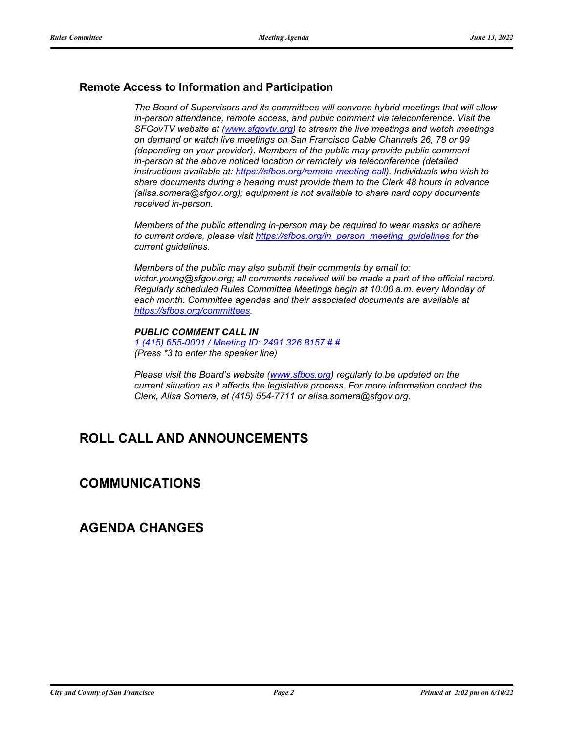## **Remote Access to Information and Participation**

*The Board of Supervisors and its committees will convene hybrid meetings that will allow in-person attendance, remote access, and public comment via teleconference. Visit the SFGovTV website at [\(www.sfgovtv.org\)](www.sfgovtv.org) to stream the live meetings and watch meetings on demand or watch live meetings on San Francisco Cable Channels 26, 78 or 99 (depending on your provider). Members of the public may provide public comment in-person at the above noticed location or remotely via teleconference (detailed instructions available at[: https://sfbos.org/remote-meeting-call\).](https://sfbos.org/remote-meeting-call) Individuals who wish to share documents during a hearing must provide them to the Clerk 48 hours in advance (alisa.somera@sfgov.org); equipment is not available to share hard copy documents received in-person.*

*Members of the public attending in-person may be required to wear masks or adhere to current orders, please visi[t https://sfbos.org/in\\_person\\_meeting\\_guidelines f](https://sfbos.org/in_person_meeting_guidelines)or the current guidelines.*

*Members of the public may also submit their comments by email to: victor.young@sfgov.org; all comments received will be made a part of the official record. Regularly scheduled Rules Committee Meetings begin at 10:00 a.m. every Monday of each month. Committee agendas and their associated documents are available at [https://sfbos.org/committees.](https://sfbos.org/committees)*

### *PUBLIC COMMENT CALL IN*

*[1 \(415\) 655-0001 / Meeting ID: 2491 326 8157 # #](tel:+14156550001,,24913268157#,,#) (Press \*3 to enter the speaker line)*

*Please visit the Board's websit[e \(www.sfbos.org\)](www.sfbos.org) regularly to be updated on the current situation as it affects the legislative process. For more information contact the Clerk, Alisa Somera, at (415) 554-7711 or alisa.somera@sfgov.org.*

## **ROLL CALL AND ANNOUNCEMENTS**

## **COMMUNICATIONS**

## **AGENDA CHANGES**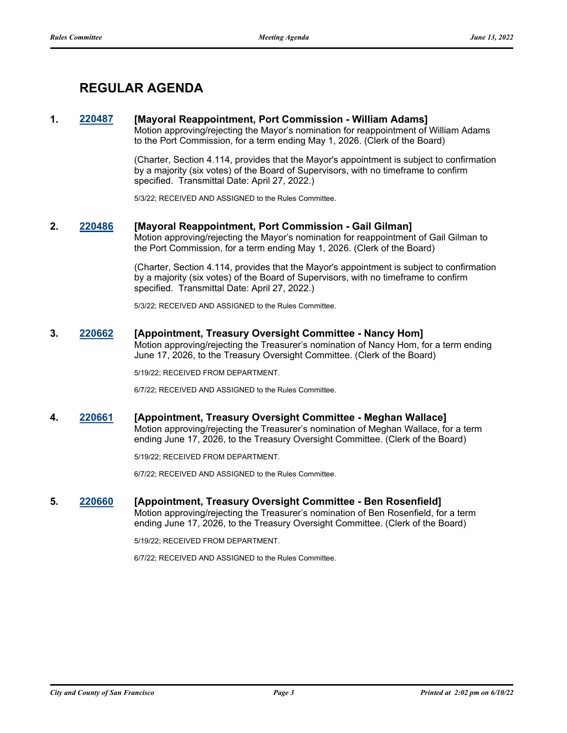# **REGULAR AGENDA**

## **1. [220487](http://sfgov.legistar.com/gateway.aspx?m=l&id=38679) [Mayoral Reappointment, Port Commission - William Adams]**

Motion approving/rejecting the Mayor's nomination for reappointment of William Adams to the Port Commission, for a term ending May 1, 2026. (Clerk of the Board)

(Charter, Section 4.114, provides that the Mayor's appointment is subject to confirmation by a majority (six votes) of the Board of Supervisors, with no timeframe to confirm specified. Transmittal Date: April 27, 2022.)

5/3/22; RECEIVED AND ASSIGNED to the Rules Committee.

### **2. [220486](http://sfgov.legistar.com/gateway.aspx?m=l&id=38678) [Mayoral Reappointment, Port Commission - Gail Gilman]**

Motion approving/rejecting the Mayor's nomination for reappointment of Gail Gilman to the Port Commission, for a term ending May 1, 2026. (Clerk of the Board)

(Charter, Section 4.114, provides that the Mayor's appointment is subject to confirmation by a majority (six votes) of the Board of Supervisors, with no timeframe to confirm specified. Transmittal Date: April 27, 2022.)

5/3/22; RECEIVED AND ASSIGNED to the Rules Committee.

# **3. [220662](http://sfgov.legistar.com/gateway.aspx?m=l&id=38854) [Appointment, Treasury Oversight Committee - Nancy Hom]**

Motion approving/rejecting the Treasurer's nomination of Nancy Hom, for a term ending June 17, 2026, to the Treasury Oversight Committee. (Clerk of the Board)

5/19/22; RECEIVED FROM DEPARTMENT.

6/7/22; RECEIVED AND ASSIGNED to the Rules Committee.

**4. [220661](http://sfgov.legistar.com/gateway.aspx?m=l&id=38853) [Appointment, Treasury Oversight Committee - Meghan Wallace]** Motion approving/rejecting the Treasurer's nomination of Meghan Wallace, for a term ending June 17, 2026, to the Treasury Oversight Committee. (Clerk of the Board)

5/19/22; RECEIVED FROM DEPARTMENT.

6/7/22; RECEIVED AND ASSIGNED to the Rules Committee.

#### **5. [220660](http://sfgov.legistar.com/gateway.aspx?m=l&id=38852) [Appointment, Treasury Oversight Committee - Ben Rosenfield]** Motion approving/rejecting the Treasurer's nomination of Ben Rosenfield, for a term ending June 17, 2026, to the Treasury Oversight Committee. (Clerk of the Board)

5/19/22; RECEIVED FROM DEPARTMENT.

6/7/22; RECEIVED AND ASSIGNED to the Rules Committee.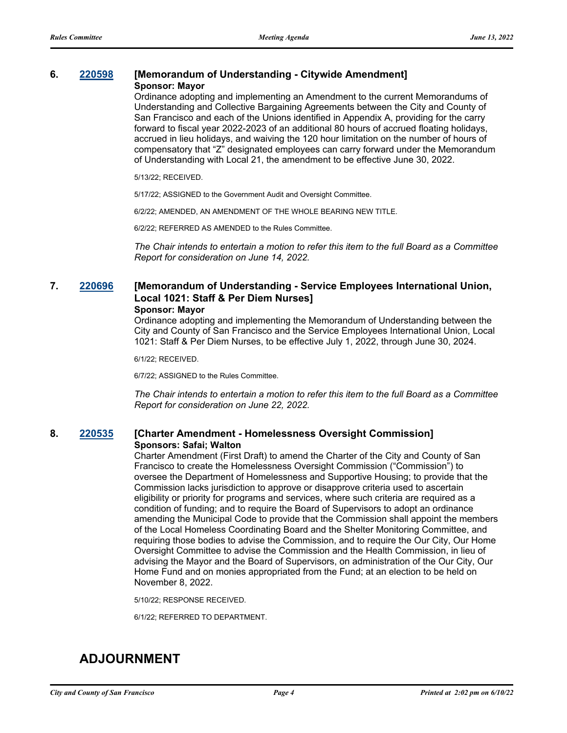#### **6. [220598](http://sfgov.legistar.com/gateway.aspx?m=l&id=38790) [Memorandum of Understanding - Citywide Amendment] Sponsor: Mayor**

Ordinance adopting and implementing an Amendment to the current Memorandums of Understanding and Collective Bargaining Agreements between the City and County of San Francisco and each of the Unions identified in Appendix A, providing for the carry forward to fiscal year 2022-2023 of an additional 80 hours of accrued floating holidays, accrued in lieu holidays, and waiving the 120 hour limitation on the number of hours of compensatory that "Z" designated employees can carry forward under the Memorandum of Understanding with Local 21, the amendment to be effective June 30, 2022.

5/13/22; RECEIVED.

5/17/22; ASSIGNED to the Government Audit and Oversight Committee.

6/2/22; AMENDED, AN AMENDMENT OF THE WHOLE BEARING NEW TITLE.

6/2/22; REFERRED AS AMENDED to the Rules Committee.

*The Chair intends to entertain a motion to refer this item to the full Board as a Committee Report for consideration on June 14, 2022.*

## **7. [220696](http://sfgov.legistar.com/gateway.aspx?m=l&id=38888) [Memorandum of Understanding - Service Employees International Union, Local 1021: Staff & Per Diem Nurses]**

### **Sponsor: Mayor**

Ordinance adopting and implementing the Memorandum of Understanding between the City and County of San Francisco and the Service Employees International Union, Local 1021: Staff & Per Diem Nurses, to be effective July 1, 2022, through June 30, 2024.

6/1/22; RECEIVED.

6/7/22; ASSIGNED to the Rules Committee.

*The Chair intends to entertain a motion to refer this item to the full Board as a Committee Report for consideration on June 22, 2022.*

## **8. [220535](http://sfgov.legistar.com/gateway.aspx?m=l&id=38727) [Charter Amendment - Homelessness Oversight Commission] Sponsors: Safai; Walton**

Charter Amendment (First Draft) to amend the Charter of the City and County of San Francisco to create the Homelessness Oversight Commission ("Commission") to oversee the Department of Homelessness and Supportive Housing; to provide that the Commission lacks jurisdiction to approve or disapprove criteria used to ascertain eligibility or priority for programs and services, where such criteria are required as a condition of funding; and to require the Board of Supervisors to adopt an ordinance amending the Municipal Code to provide that the Commission shall appoint the members of the Local Homeless Coordinating Board and the Shelter Monitoring Committee, and requiring those bodies to advise the Commission, and to require the Our City, Our Home Oversight Committee to advise the Commission and the Health Commission, in lieu of advising the Mayor and the Board of Supervisors, on administration of the Our City, Our Home Fund and on monies appropriated from the Fund; at an election to be held on November 8, 2022.

5/10/22; RESPONSE RECEIVED.

6/1/22; REFERRED TO DEPARTMENT.

# **ADJOURNMENT**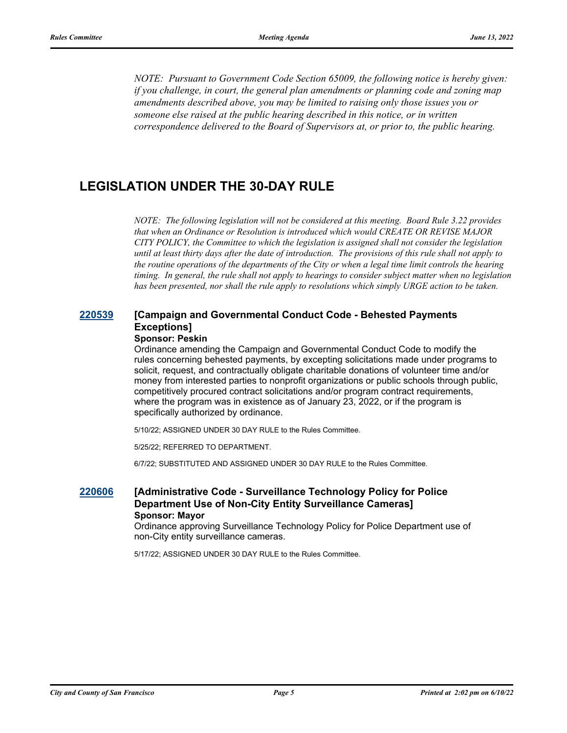*NOTE: Pursuant to Government Code Section 65009, the following notice is hereby given: if you challenge, in court, the general plan amendments or planning code and zoning map amendments described above, you may be limited to raising only those issues you or someone else raised at the public hearing described in this notice, or in written correspondence delivered to the Board of Supervisors at, or prior to, the public hearing.*

## **LEGISLATION UNDER THE 30-DAY RULE**

*NOTE: The following legislation will not be considered at this meeting. Board Rule 3.22 provides that when an Ordinance or Resolution is introduced which would CREATE OR REVISE MAJOR CITY POLICY, the Committee to which the legislation is assigned shall not consider the legislation until at least thirty days after the date of introduction. The provisions of this rule shall not apply to the routine operations of the departments of the City or when a legal time limit controls the hearing timing. In general, the rule shall not apply to hearings to consider subject matter when no legislation has been presented, nor shall the rule apply to resolutions which simply URGE action to be taken.*

## **[220539](http://sfgov.legistar.com/gateway.aspx?m=l&id=38731) [Campaign and Governmental Conduct Code - Behested Payments Exceptions]**

### **Sponsor: Peskin**

Ordinance amending the Campaign and Governmental Conduct Code to modify the rules concerning behested payments, by excepting solicitations made under programs to solicit, request, and contractually obligate charitable donations of volunteer time and/or money from interested parties to nonprofit organizations or public schools through public, competitively procured contract solicitations and/or program contract requirements, where the program was in existence as of January 23, 2022, or if the program is specifically authorized by ordinance.

5/10/22; ASSIGNED UNDER 30 DAY RULE to the Rules Committee.

5/25/22; REFERRED TO DEPARTMENT.

6/7/22; SUBSTITUTED AND ASSIGNED UNDER 30 DAY RULE to the Rules Committee.

## **[220606](http://sfgov.legistar.com/gateway.aspx?m=l&id=38798) [Administrative Code - Surveillance Technology Policy for Police Department Use of Non-City Entity Surveillance Cameras] Sponsor: Mayor**

Ordinance approving Surveillance Technology Policy for Police Department use of non-City entity surveillance cameras.

5/17/22; ASSIGNED UNDER 30 DAY RULE to the Rules Committee.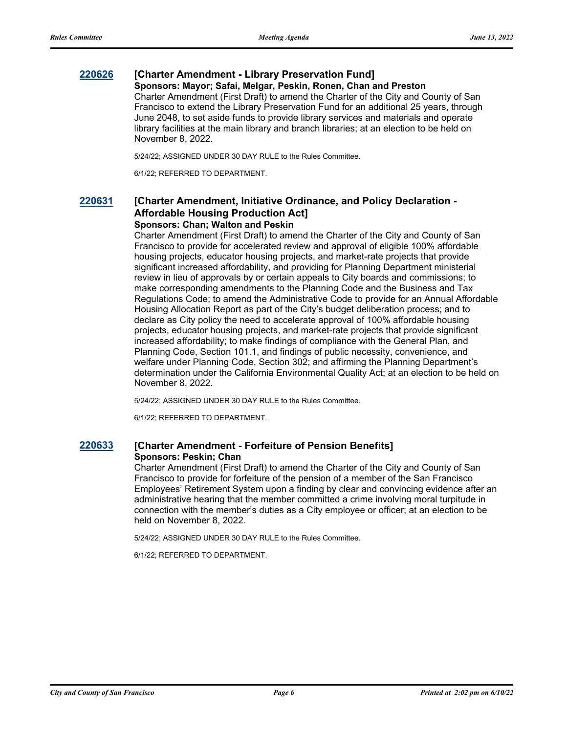## **[220626](http://sfgov.legistar.com/gateway.aspx?m=l&id=38818) [Charter Amendment - Library Preservation Fund]**

### **Sponsors: Mayor; Safai, Melgar, Peskin, Ronen, Chan and Preston**

Charter Amendment (First Draft) to amend the Charter of the City and County of San Francisco to extend the Library Preservation Fund for an additional 25 years, through June 2048, to set aside funds to provide library services and materials and operate library facilities at the main library and branch libraries; at an election to be held on November 8, 2022.

5/24/22; ASSIGNED UNDER 30 DAY RULE to the Rules Committee.

6/1/22; REFERRED TO DEPARTMENT.

## **[220631](http://sfgov.legistar.com/gateway.aspx?m=l&id=38823) [Charter Amendment, Initiative Ordinance, and Policy Declaration - Affordable Housing Production Act]**

## **Sponsors: Chan; Walton and Peskin**

Charter Amendment (First Draft) to amend the Charter of the City and County of San Francisco to provide for accelerated review and approval of eligible 100% affordable housing projects, educator housing projects, and market-rate projects that provide significant increased affordability, and providing for Planning Department ministerial review in lieu of approvals by or certain appeals to City boards and commissions; to make corresponding amendments to the Planning Code and the Business and Tax Regulations Code; to amend the Administrative Code to provide for an Annual Affordable Housing Allocation Report as part of the City's budget deliberation process; and to declare as City policy the need to accelerate approval of 100% affordable housing projects, educator housing projects, and market-rate projects that provide significant increased affordability; to make findings of compliance with the General Plan, and Planning Code, Section 101.1, and findings of public necessity, convenience, and welfare under Planning Code, Section 302; and affirming the Planning Department's determination under the California Environmental Quality Act; at an election to be held on November 8, 2022.

5/24/22; ASSIGNED UNDER 30 DAY RULE to the Rules Committee.

6/1/22; REFERRED TO DEPARTMENT.

## **[220633](http://sfgov.legistar.com/gateway.aspx?m=l&id=38825) [Charter Amendment - Forfeiture of Pension Benefits] Sponsors: Peskin; Chan**

Charter Amendment (First Draft) to amend the Charter of the City and County of San Francisco to provide for forfeiture of the pension of a member of the San Francisco Employees' Retirement System upon a finding by clear and convincing evidence after an administrative hearing that the member committed a crime involving moral turpitude in connection with the member's duties as a City employee or officer; at an election to be held on November 8, 2022.

5/24/22; ASSIGNED UNDER 30 DAY RULE to the Rules Committee.

6/1/22; REFERRED TO DEPARTMENT.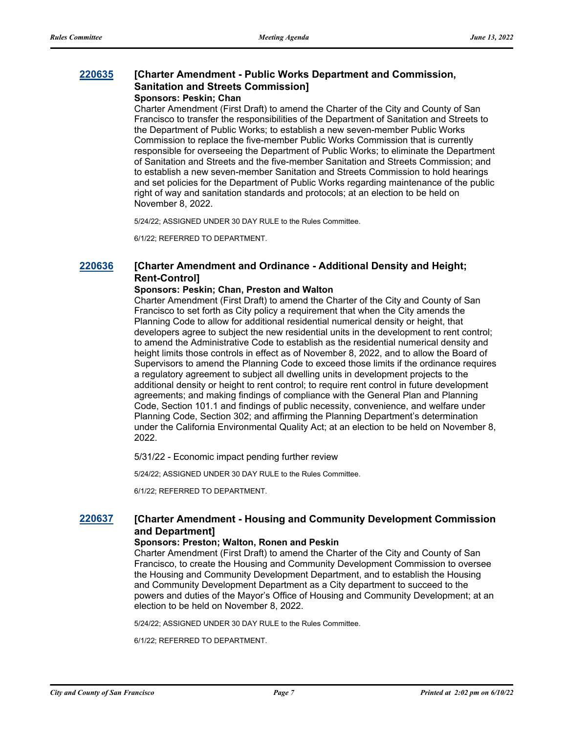## **[220635](http://sfgov.legistar.com/gateway.aspx?m=l&id=38827) [Charter Amendment - Public Works Department and Commission, Sanitation and Streets Commission] Sponsors: Peskin; Chan**

Charter Amendment (First Draft) to amend the Charter of the City and County of San Francisco to transfer the responsibilities of the Department of Sanitation and Streets to the Department of Public Works; to establish a new seven-member Public Works Commission to replace the five-member Public Works Commission that is currently responsible for overseeing the Department of Public Works; to eliminate the Department of Sanitation and Streets and the five-member Sanitation and Streets Commission; and to establish a new seven-member Sanitation and Streets Commission to hold hearings and set policies for the Department of Public Works regarding maintenance of the public right of way and sanitation standards and protocols; at an election to be held on November 8, 2022.

5/24/22; ASSIGNED UNDER 30 DAY RULE to the Rules Committee.

6/1/22; REFERRED TO DEPARTMENT.

## **[220636](http://sfgov.legistar.com/gateway.aspx?m=l&id=38828) [Charter Amendment and Ordinance - Additional Density and Height; Rent-Control]**

## **Sponsors: Peskin; Chan, Preston and Walton**

Charter Amendment (First Draft) to amend the Charter of the City and County of San Francisco to set forth as City policy a requirement that when the City amends the Planning Code to allow for additional residential numerical density or height, that developers agree to subject the new residential units in the development to rent control; to amend the Administrative Code to establish as the residential numerical density and height limits those controls in effect as of November 8, 2022, and to allow the Board of Supervisors to amend the Planning Code to exceed those limits if the ordinance requires a regulatory agreement to subject all dwelling units in development projects to the additional density or height to rent control; to require rent control in future development agreements; and making findings of compliance with the General Plan and Planning Code, Section 101.1 and findings of public necessity, convenience, and welfare under Planning Code, Section 302; and affirming the Planning Department's determination under the California Environmental Quality Act; at an election to be held on November 8, 2022.

5/31/22 - Economic impact pending further review

5/24/22; ASSIGNED UNDER 30 DAY RULE to the Rules Committee.

6/1/22; REFERRED TO DEPARTMENT.

## **[220637](http://sfgov.legistar.com/gateway.aspx?m=l&id=38829) [Charter Amendment - Housing and Community Development Commission and Department]**

#### **Sponsors: Preston; Walton, Ronen and Peskin**

Charter Amendment (First Draft) to amend the Charter of the City and County of San Francisco, to create the Housing and Community Development Commission to oversee the Housing and Community Development Department, and to establish the Housing and Community Development Department as a City department to succeed to the powers and duties of the Mayor's Office of Housing and Community Development; at an election to be held on November 8, 2022.

5/24/22; ASSIGNED UNDER 30 DAY RULE to the Rules Committee.

6/1/22; REFERRED TO DEPARTMENT.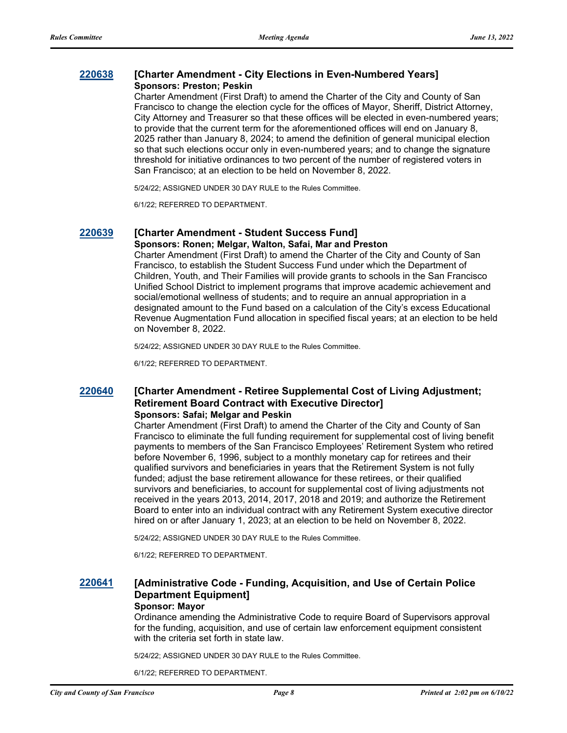## **[220638](http://sfgov.legistar.com/gateway.aspx?m=l&id=38830) [Charter Amendment - City Elections in Even-Numbered Years] Sponsors: Preston; Peskin**

Charter Amendment (First Draft) to amend the Charter of the City and County of San Francisco to change the election cycle for the offices of Mayor, Sheriff, District Attorney, City Attorney and Treasurer so that these offices will be elected in even-numbered years; to provide that the current term for the aforementioned offices will end on January 8, 2025 rather than January 8, 2024; to amend the definition of general municipal election so that such elections occur only in even-numbered years; and to change the signature threshold for initiative ordinances to two percent of the number of registered voters in San Francisco; at an election to be held on November 8, 2022.

5/24/22; ASSIGNED UNDER 30 DAY RULE to the Rules Committee.

6/1/22; REFERRED TO DEPARTMENT.

## **[220639](http://sfgov.legistar.com/gateway.aspx?m=l&id=38831) [Charter Amendment - Student Success Fund]**

**Sponsors: Ronen; Melgar, Walton, Safai, Mar and Preston** Charter Amendment (First Draft) to amend the Charter of the City and County of San Francisco, to establish the Student Success Fund under which the Department of Children, Youth, and Their Families will provide grants to schools in the San Francisco Unified School District to implement programs that improve academic achievement and social/emotional wellness of students; and to require an annual appropriation in a designated amount to the Fund based on a calculation of the City's excess Educational Revenue Augmentation Fund allocation in specified fiscal years; at an election to be held on November 8, 2022.

5/24/22; ASSIGNED UNDER 30 DAY RULE to the Rules Committee.

6/1/22; REFERRED TO DEPARTMENT.

## **[220640](http://sfgov.legistar.com/gateway.aspx?m=l&id=38832) [Charter Amendment - Retiree Supplemental Cost of Living Adjustment; Retirement Board Contract with Executive Director] Sponsors: Safai; Melgar and Peskin**

Charter Amendment (First Draft) to amend the Charter of the City and County of San Francisco to eliminate the full funding requirement for supplemental cost of living benefit payments to members of the San Francisco Employees' Retirement System who retired before November 6, 1996, subject to a monthly monetary cap for retirees and their qualified survivors and beneficiaries in years that the Retirement System is not fully funded; adjust the base retirement allowance for these retirees, or their qualified survivors and beneficiaries, to account for supplemental cost of living adjustments not received in the years 2013, 2014, 2017, 2018 and 2019; and authorize the Retirement Board to enter into an individual contract with any Retirement System executive director hired on or after January 1, 2023; at an election to be held on November 8, 2022.

5/24/22; ASSIGNED UNDER 30 DAY RULE to the Rules Committee.

6/1/22; REFERRED TO DEPARTMENT.

## **[220641](http://sfgov.legistar.com/gateway.aspx?m=l&id=38833) [Administrative Code - Funding, Acquisition, and Use of Certain Police Department Equipment] Sponsor: Mayor**

Ordinance amending the Administrative Code to require Board of Supervisors approval for the funding, acquisition, and use of certain law enforcement equipment consistent with the criteria set forth in state law.

5/24/22; ASSIGNED UNDER 30 DAY RULE to the Rules Committee.

6/1/22; REFERRED TO DEPARTMENT.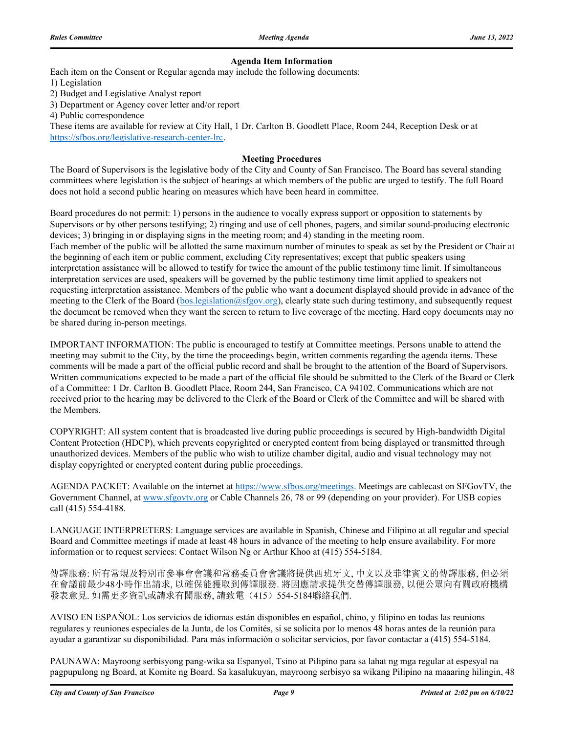### **Agenda Item Information**

Each item on the Consent or Regular agenda may include the following documents:

1) Legislation

2) Budget and Legislative Analyst report

3) Department or Agency cover letter and/or report

4) Public correspondence

These items are available for review at City Hall, 1 Dr. Carlton B. Goodlett Place, Room 244, Reception Desk or at https://sfbos.org/legislative-research-center-lrc.

#### **Meeting Procedures**

The Board of Supervisors is the legislative body of the City and County of San Francisco. The Board has several standing committees where legislation is the subject of hearings at which members of the public are urged to testify. The full Board does not hold a second public hearing on measures which have been heard in committee.

Board procedures do not permit: 1) persons in the audience to vocally express support or opposition to statements by Supervisors or by other persons testifying; 2) ringing and use of cell phones, pagers, and similar sound-producing electronic devices; 3) bringing in or displaying signs in the meeting room; and 4) standing in the meeting room. Each member of the public will be allotted the same maximum number of minutes to speak as set by the President or Chair at the beginning of each item or public comment, excluding City representatives; except that public speakers using interpretation assistance will be allowed to testify for twice the amount of the public testimony time limit. If simultaneous interpretation services are used, speakers will be governed by the public testimony time limit applied to speakers not requesting interpretation assistance. Members of the public who want a document displayed should provide in advance of the meeting to the Clerk of the Board (bos.legislation@sfgov.org), clearly state such during testimony, and subsequently request the document be removed when they want the screen to return to live coverage of the meeting. Hard copy documents may no be shared during in-person meetings.

IMPORTANT INFORMATION: The public is encouraged to testify at Committee meetings. Persons unable to attend the meeting may submit to the City, by the time the proceedings begin, written comments regarding the agenda items. These comments will be made a part of the official public record and shall be brought to the attention of the Board of Supervisors. Written communications expected to be made a part of the official file should be submitted to the Clerk of the Board or Clerk of a Committee: 1 Dr. Carlton B. Goodlett Place, Room 244, San Francisco, CA 94102. Communications which are not received prior to the hearing may be delivered to the Clerk of the Board or Clerk of the Committee and will be shared with the Members.

COPYRIGHT: All system content that is broadcasted live during public proceedings is secured by High-bandwidth Digital Content Protection (HDCP), which prevents copyrighted or encrypted content from being displayed or transmitted through unauthorized devices. Members of the public who wish to utilize chamber digital, audio and visual technology may not display copyrighted or encrypted content during public proceedings.

AGENDA PACKET: Available on the internet at https://www.sfbos.org/meetings. Meetings are cablecast on SFGovTV, the Government Channel, at www.sfgovtv.org or Cable Channels 26, 78 or 99 (depending on your provider). For USB copies call (415) 554-4188.

LANGUAGE INTERPRETERS: Language services are available in Spanish, Chinese and Filipino at all regular and special Board and Committee meetings if made at least 48 hours in advance of the meeting to help ensure availability. For more information or to request services: Contact Wilson Ng or Arthur Khoo at (415) 554-5184.

傳譯服務: 所有常規及特別市參事會會議和常務委員會會議將提供西班牙文, 中文以及菲律賓文的傳譯服務, 但必須 在會議前最少48小時作出請求, 以確保能獲取到傳譯服務. 將因應請求提供交替傳譯服務, 以便公眾向有關政府機構 發表意見. 如需更多資訊或請求有關服務, 請致電(415) 554-5184聯絡我們.

AVISO EN ESPAÑOL: Los servicios de idiomas están disponibles en español, chino, y filipino en todas las reunions regulares y reuniones especiales de la Junta, de los Comités, si se solicita por lo menos 48 horas antes de la reunión para ayudar a garantizar su disponibilidad. Para más información o solicitar servicios, por favor contactar a (415) 554-5184.

PAUNAWA: Mayroong serbisyong pang-wika sa Espanyol, Tsino at Pilipino para sa lahat ng mga regular at espesyal na pagpupulong ng Board, at Komite ng Board. Sa kasalukuyan, mayroong serbisyo sa wikang Pilipino na maaaring hilingin, 48